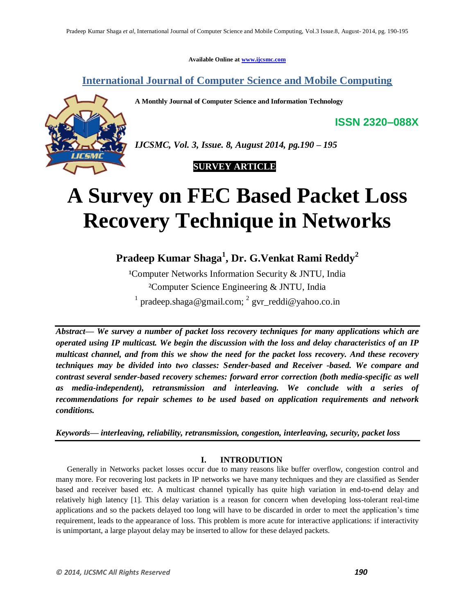**Available Online at [www.ijcsmc.com](http://www.ijcsmc.com/)**

**International Journal of Computer Science and Mobile Computing**

**A Monthly Journal of Computer Science and Information Technology**

**ISSN 2320–088X**



*IJCSMC, Vol. 3, Issue. 8, August 2014, pg.190 – 195*

## **SURVEY ARTICLE**

# **A Survey on FEC Based Packet Loss Recovery Technique in Networks**

**Pradeep Kumar Shaga<sup>1</sup> , Dr. G.Venkat Rami Reddy<sup>2</sup>**

<sup>1</sup>Computer Networks Information Security & JNTU, India ²Computer Science Engineering & JNTU, India <sup>1</sup> pradeep.shaga@gmail.com; <sup>2</sup> gvr\_reddi@yahoo.co.in

*Abstract— We survey a number of packet loss recovery techniques for many applications which are operated using IP multicast. We begin the discussion with the loss and delay characteristics of an IP multicast channel, and from this we show the need for the packet loss recovery. And these recovery techniques may be divided into two classes: Sender-based and Receiver -based. We compare and contrast several sender-based recovery schemes: forward error correction (both media-specific as well as media-independent), retransmission and interleaving. We conclude with a series of recommendations for repair schemes to be used based on application requirements and network conditions.*

*Keywords— interleaving, reliability, retransmission, congestion, interleaving, security, packet loss* 

## **I. INTRODUTION**

Generally in Networks packet losses occur due to many reasons like buffer overflow, congestion control and many more. For recovering lost packets in IP networks we have many techniques and they are classified as Sender based and receiver based etc. A multicast channel typically has quite high variation in end-to-end delay and relatively high latency [1]. This delay variation is a reason for concern when developing loss-tolerant real-time applications and so the packets delayed too long will have to be discarded in order to meet the application's time requirement, leads to the appearance of loss. This problem is more acute for interactive applications: if interactivity is unimportant, a large playout delay may be inserted to allow for these delayed packets.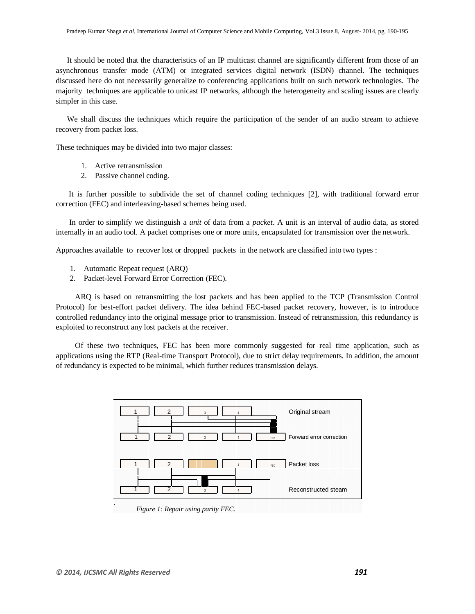It should be noted that the characteristics of an IP multicast channel are significantly different from those of an asynchronous transfer mode (ATM) or integrated services digital network (ISDN) channel. The techniques discussed here do not necessarily generalize to conferencing applications built on such network technologies. The majority techniques are applicable to unicast IP networks, although the heterogeneity and scaling issues are clearly simpler in this case.

We shall discuss the techniques which require the participation of the sender of an audio stream to achieve recovery from packet loss.

These techniques may be divided into two major classes:

- 1. Active retransmission
- 2. Passive channel coding.

It is further possible to subdivide the set of channel coding techniques [2], with traditional forward error correction (FEC) and interleaving-based schemes being used.

 In order to simplify we distinguish a *unit* of data from a *packet*. A unit is an interval of audio data, as stored internally in an audio tool. A packet comprises one or more units, encapsulated for transmission over the network.

Approaches available to recover lost or dropped packets in the network are classified into two types :

- 1. Automatic Repeat request (ARQ)
- 2. Packet-level Forward Error Correction (FEC).

 ARQ is based on retransmitting the lost packets and has been applied to the TCP (Transmission Control Protocol) for best-effort packet delivery. The idea behind FEC-based packet recovery, however, is to introduce controlled redundancy into the original message prior to transmission. Instead of retransmission, this redundancy is exploited to reconstruct any lost packets at the receiver.

 Of these two techniques, FEC has been more commonly suggested for real time application, such as applications using the RTP (Real-time Transport Protocol), due to strict delay requirements. In addition, the amount of redundancy is expected to be minimal, which further reduces transmission delays.

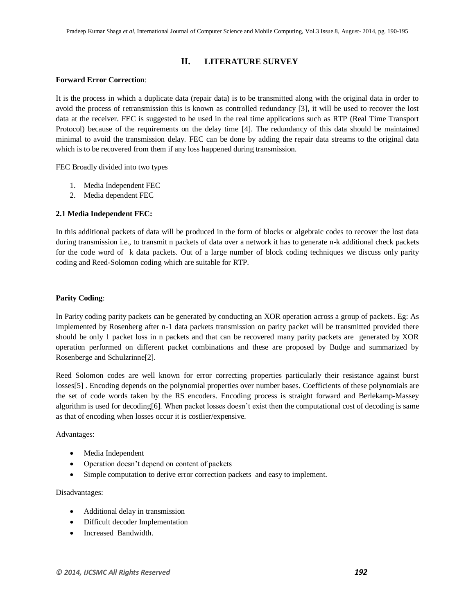## **II. LITERATURE SURVEY**

#### **Forward Error Correction**:

It is the process in which a duplicate data (repair data) is to be transmitted along with the original data in order to avoid the process of retransmission this is known as controlled redundancy [3], it will be used to recover the lost data at the receiver. FEC is suggested to be used in the real time applications such as RTP (Real Time Transport Protocol) because of the requirements on the delay time [4]. The redundancy of this data should be maintained minimal to avoid the transmission delay. FEC can be done by adding the repair data streams to the original data which is to be recovered from them if any loss happened during transmission.

FEC Broadly divided into two types

- 1. Media Independent FEC
- 2. Media dependent FEC

#### **2.1 Media Independent FEC:**

In this additional packets of data will be produced in the form of blocks or algebraic codes to recover the lost data during transmission i.e., to transmit n packets of data over a network it has to generate n-k additional check packets for the code word of k data packets. Out of a large number of block coding techniques we discuss only parity coding and Reed-Solomon coding which are suitable for RTP.

#### **Parity Coding**:

In Parity coding parity packets can be generated by conducting an XOR operation across a group of packets. Eg: As implemented by Rosenberg after n-1 data packets transmission on parity packet will be transmitted provided there should be only 1 packet loss in n packets and that can be recovered many parity packets are generated by XOR operation performed on different packet combinations and these are proposed by Budge and summarized by Rosenberge and Schulzrinne[2].

Reed Solomon codes are well known for error correcting properties particularly their resistance against burst losses[5] . Encoding depends on the polynomial properties over number bases. Coefficients of these polynomials are the set of code words taken by the RS encoders. Encoding process is straight forward and Berlekamp-Massey algorithm is used for decoding[6]. When packet losses doesn't exist then the computational cost of decoding is same as that of encoding when losses occur it is costlier/expensive.

Advantages:

- Media Independent
- Operation doesn't depend on content of packets
- Simple computation to derive error correction packets and easy to implement.

Disadvantages:

- Additional delay in transmission
- Difficult decoder Implementation
- Increased Bandwidth.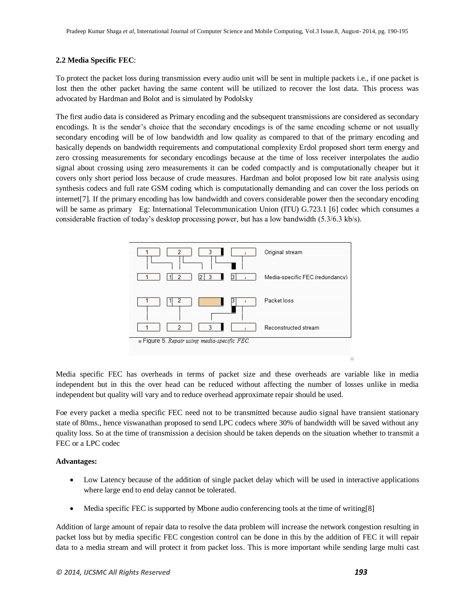#### **2.2 Media Specific FEC**:

To protect the packet loss during transmission every audio unit will be sent in multiple packets i.e., if one packet is lost then the other packet having the same content will be utilized to recover the lost data. This process was advocated by Hardman and Bolot and is simulated by Podolsky

The first audio data is considered as Primary encoding and the subsequent transmissions are considered as secondary encodings. It is the sender's choice that the secondary encodings is of the same encoding scheme or not usually secondary encoding will be of low bandwidth and low quality as compared to that of the primary encoding and basically depends on bandwidth requirements and computational complexity Erdol proposed short term energy and zero crossing measurements for secondary encodings because at the time of loss receiver interpolates the audio signal about crossing using zero measurements it can be coded compactly and is computationally cheaper but it covers only short period loss because of crude measures. Hardman and bolot proposed low bit rate analysis using synthesis codecs and full rate GSM coding which is computationally demanding and can cover the loss periods on internet[7]. If the primary encoding has low bandwidth and covers considerable power then the secondary encoding will be same as primary Eg: International Telecommunication Union (ITU) G.723.1 [6] codec which consumes a considerable fraction of today's desktop processing power, but has a low bandwidth (5.3/6.3 kb/s).



Media specific FEC has overheads in terms of packet size and these overheads are variable like in media independent but in this the over head can be reduced without affecting the number of losses unlike in media independent but quality will vary and to reduce overhead approximate repair should be used.

Foe every packet a media specific FEC need not to be transmitted because audio signal have transient stationary state of 80ms., hence viswanathan proposed to send LPC codecs where 30% of bandwidth will be saved without any quality loss. So at the time of transmission a decision should be taken depends on the situation whether to transmit a FEC or a LPC codec

#### **Advantages:**

- Low Latency because of the addition of single packet delay which will be used in interactive applications where large end to end delay cannot be tolerated.
- Media specific FEC is supported by Mbone audio conferencing tools at the time of writing[8]

Addition of large amount of repair data to resolve the data problem will increase the network congestion resulting in packet loss but by media specific FEC congestion control can be done in this by the addition of FEC it will repair data to a media stream and will protect it from packet loss. This is more important while sending large multi cast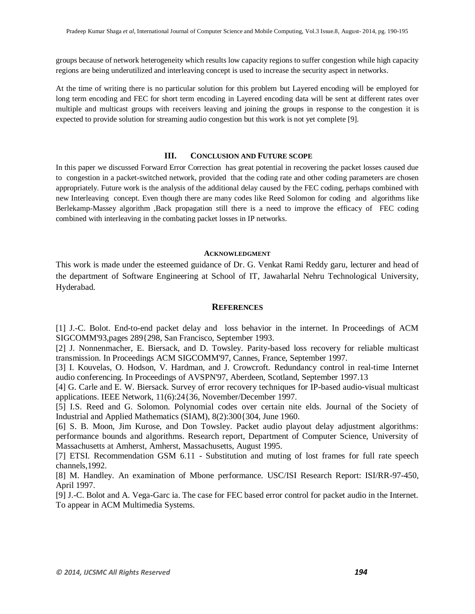groups because of network heterogeneity which results low capacity regions to suffer congestion while high capacity regions are being underutilized and interleaving concept is used to increase the security aspect in networks.

At the time of writing there is no particular solution for this problem but Layered encoding will be employed for long term encoding and FEC for short term encoding in Layered encoding data will be sent at different rates over multiple and multicast groups with receivers leaving and joining the groups in response to the congestion it is expected to provide solution for streaming audio congestion but this work is not yet complete [9].

#### **III. CONCLUSION AND FUTURE SCOPE**

In this paper we discussed Forward Error Correction has great potential in recovering the packet losses caused due to congestion in a packet-switched network, provided that the coding rate and other coding parameters are chosen appropriately. Future work is the analysis of the additional delay caused by the FEC coding, perhaps combined with new Interleaving concept. Even though there are many codes like Reed Solomon for coding and algorithms like Berlekamp-Massey algorithm ,Back propagation still there is a need to improve the efficacy of FEC coding combined with interleaving in the combating packet losses in IP networks.

#### **ACKNOWLEDGMENT**

This work is made under the esteemed guidance of Dr. G. Venkat Rami Reddy garu, lecturer and head of the department of Software Engineering at School of IT, Jawaharlal Nehru Technological University, Hyderabad.

#### **REFERENCES**

[1] J.-C. Bolot. End-to-end packet delay and loss behavior in the internet. In Proceedings of ACM SIGCOMM'93,pages 289{298, San Francisco, September 1993.

[2] J. Nonnenmacher, E. Biersack, and D. Towsley. Parity-based loss recovery for reliable multicast transmission. In Proceedings ACM SIGCOMM'97, Cannes, France, September 1997.

[3] I. Kouvelas, O. Hodson, V. Hardman, and J. Crowcroft. Redundancy control in real-time Internet audio conferencing. In Proceedings of AVSPN'97, Aberdeen, Scotland, September 1997.13

[4] G. Carle and E. W. Biersack. Survey of error recovery techniques for IP-based audio-visual multicast applications. IEEE Network, 11(6):24{36, November/December 1997.

[5] I.S. Reed and G. Solomon. Polynomial codes over certain nite elds. Journal of the Society of Industrial and Applied Mathematics (SIAM), 8(2):300{304, June 1960.

[6] S. B. Moon, Jim Kurose, and Don Towsley. Packet audio playout delay adjustment algorithms: performance bounds and algorithms. Research report, Department of Computer Science, University of Massachusetts at Amherst, Amherst, Massachusetts, August 1995.

[7] ETSI. Recommendation GSM 6.11 - Substitution and muting of lost frames for full rate speech channels,1992.

[8] M. Handley. An examination of Mbone performance. USC/ISI Research Report: ISI/RR-97-450, April 1997.

[9] J.-C. Bolot and A. Vega-Garc ia. The case for FEC based error control for packet audio in the Internet. To appear in ACM Multimedia Systems.